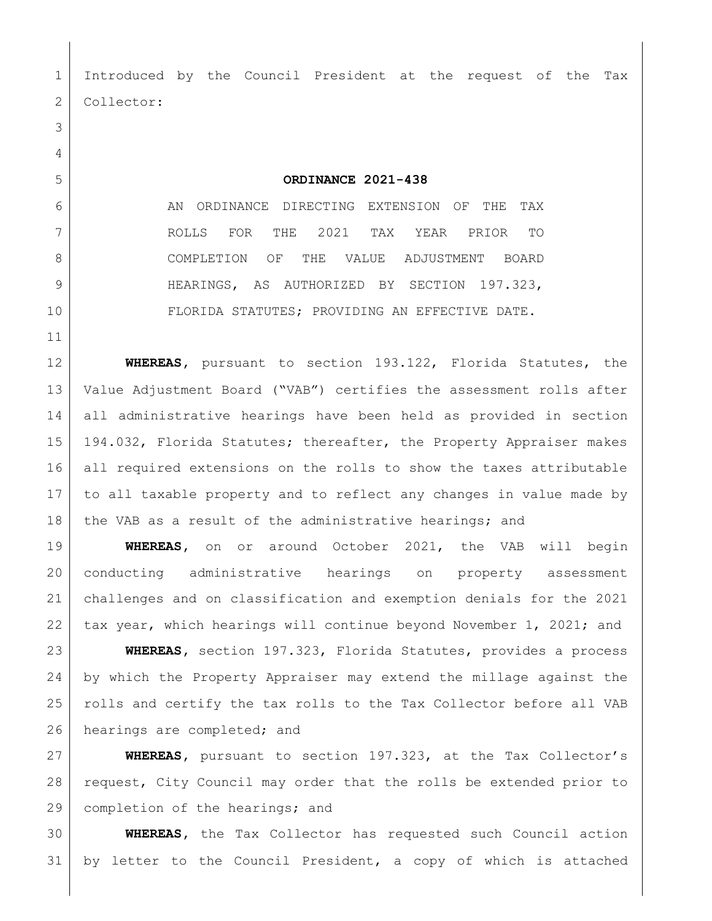Introduced by the Council President at the request of the Tax 2 Collector:

## **ORDINANCE 2021-438**

6 AN ORDINANCE DIRECTING EXTENSION OF THE TAX ROLLS FOR THE 2021 TAX YEAR PRIOR TO COMPLETION OF THE VALUE ADJUSTMENT BOARD 9 HEARINGS, AS AUTHORIZED BY SECTION 197.323, FLORIDA STATUTES; PROVIDING AN EFFECTIVE DATE.

 **WHEREAS,** pursuant to section 193.122, Florida Statutes, the Value Adjustment Board ("VAB") certifies the assessment rolls after all administrative hearings have been held as provided in section 194.032, Florida Statutes; thereafter, the Property Appraiser makes all required extensions on the rolls to show the taxes attributable to all taxable property and to reflect any changes in value made by 18 the VAB as a result of the administrative hearings; and

 **WHEREAS,** on or around October 2021, the VAB will begin conducting administrative hearings on property assessment challenges and on classification and exemption denials for the 2021 tax year, which hearings will continue beyond November 1, 2021; and

 **WHEREAS,** section 197.323, Florida Statutes, provides a process by which the Property Appraiser may extend the millage against the rolls and certify the tax rolls to the Tax Collector before all VAB 26 hearings are completed; and

 **WHEREAS,** pursuant to section 197.323, at the Tax Collector's request, City Council may order that the rolls be extended prior to 29 completion of the hearings; and

 **WHEREAS,** the Tax Collector has requested such Council action by letter to the Council President, a copy of which is attached